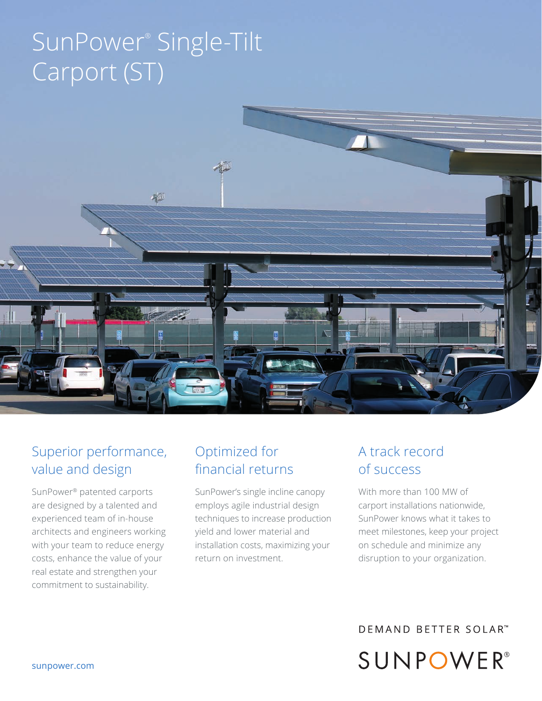# SunPower® Single-Tilt Carport (ST)



## Superior performance, value and design

SunPower® patented carports are designed by a talented and experienced team of in-house architects and engineers working with your team to reduce energy costs, enhance the value of your real estate and strengthen your commitment to sustainability.

## Optimized for financial returns

SunPower's single incline canopy employs agile industrial design techniques to increase production yield and lower material and installation costs, maximizing your return on investment.

## A track record of success

With more than 100 MW of carport installations nationwide, SunPower knows what it takes to meet milestones, keep your project on schedule and minimize any disruption to your organization.

**DEMAND BETTER SOLAR™** SUNPOWER®